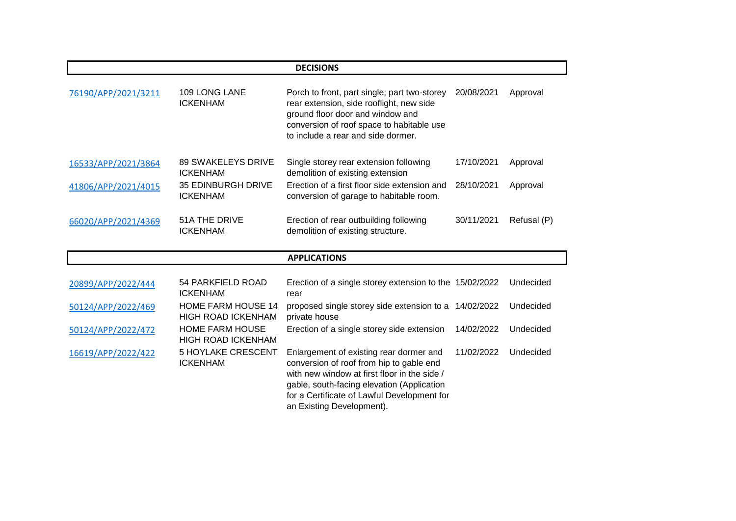| <b>DECISIONS</b>    |                                                        |                                                                                                                                                                                                                                                               |            |             |  |  |  |
|---------------------|--------------------------------------------------------|---------------------------------------------------------------------------------------------------------------------------------------------------------------------------------------------------------------------------------------------------------------|------------|-------------|--|--|--|
| 76190/APP/2021/3211 | 109 LONG LANE<br><b>ICKENHAM</b>                       | Porch to front, part single; part two-storey<br>rear extension, side rooflight, new side<br>ground floor door and window and<br>conversion of roof space to habitable use<br>to include a rear and side dormer.                                               | 20/08/2021 | Approval    |  |  |  |
| 16533/APP/2021/3864 | 89 SWAKELEYS DRIVE<br><b>ICKENHAM</b>                  | Single storey rear extension following<br>demolition of existing extension                                                                                                                                                                                    | 17/10/2021 | Approval    |  |  |  |
| 41806/APP/2021/4015 | <b>35 EDINBURGH DRIVE</b><br><b>ICKENHAM</b>           | Erection of a first floor side extension and<br>conversion of garage to habitable room.                                                                                                                                                                       | 28/10/2021 | Approval    |  |  |  |
| 66020/APP/2021/4369 | 51A THE DRIVE<br><b>ICKENHAM</b>                       | Erection of rear outbuilding following<br>demolition of existing structure.                                                                                                                                                                                   | 30/11/2021 | Refusal (P) |  |  |  |
| <b>APPLICATIONS</b> |                                                        |                                                                                                                                                                                                                                                               |            |             |  |  |  |
| 20899/APP/2022/444  | 54 PARKFIELD ROAD<br><b>ICKENHAM</b>                   | Erection of a single storey extension to the 15/02/2022<br>rear                                                                                                                                                                                               |            | Undecided   |  |  |  |
| 50124/APP/2022/469  | <b>HOME FARM HOUSE 14</b><br><b>HIGH ROAD ICKENHAM</b> | proposed single storey side extension to a<br>private house                                                                                                                                                                                                   | 14/02/2022 | Undecided   |  |  |  |
| 50124/APP/2022/472  | <b>HOME FARM HOUSE</b><br><b>HIGH ROAD ICKENHAM</b>    | Erection of a single storey side extension                                                                                                                                                                                                                    | 14/02/2022 | Undecided   |  |  |  |
| 16619/APP/2022/422  | <b>5 HOYLAKE CRESCENT</b><br><b>ICKENHAM</b>           | Enlargement of existing rear dormer and<br>conversion of roof from hip to gable end<br>with new window at first floor in the side /<br>gable, south-facing elevation (Application<br>for a Certificate of Lawful Development for<br>an Existing Development). | 11/02/2022 | Undecided   |  |  |  |